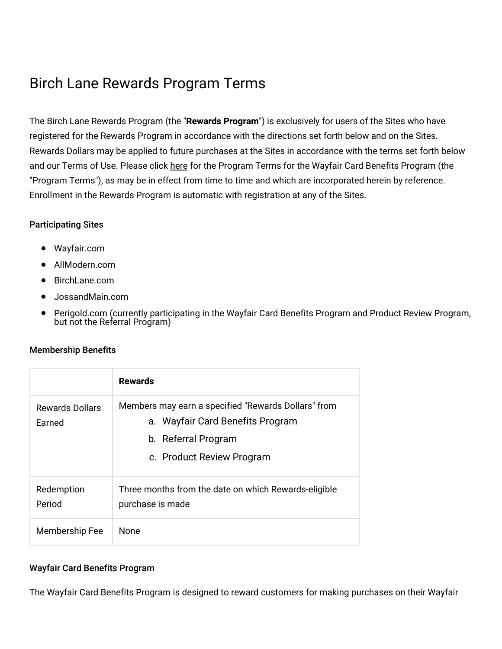# Birch Lane Rewards Program Terms

The Birch Lane Rewards Program (the "**Rewards Program**") is exclusively for users of the Sites who have registered for the Rewards Program in accordance with the directions set forth below and on the Sites. Rewards Dollars may be applied to future purchases at the Sites in accordance with the terms set forth below and our Terms of Use. Please click [here](https://terms.birchlane.io/en-US#birchlane-creditcard) for the Program Terms for the Wayfair Card Benefits Program (the "Program Terms"), as may be in effect from time to time and which are incorporated herein by reference. Enrollment in the Rewards Program is automatic with registration at any of the Sites.

# Participating Sites

- Wayfair.com
- AllModern.com
- BirchLane.com
- JossandMain.com
- Perigold.com (currently participating in the Wayfair Card Benefits Program and Product Review Program, but not the Referral Program)

# Membership Benefits

|                                  | <b>Rewards</b>                                                                                                                              |
|----------------------------------|---------------------------------------------------------------------------------------------------------------------------------------------|
| <b>Rewards Dollars</b><br>Earned | Members may earn a specified "Rewards Dollars" from<br>a. Wayfair Card Benefits Program<br>b. Referral Program<br>c. Product Review Program |
| Redemption<br>Period             | Three months from the date on which Rewards-eligible<br>purchase is made                                                                    |
| Membership Fee                   | <b>None</b>                                                                                                                                 |

# Wayfair Card Benefits Program

The Wayfair Card Benefits Program is designed to reward customers for making purchases on their Wayfair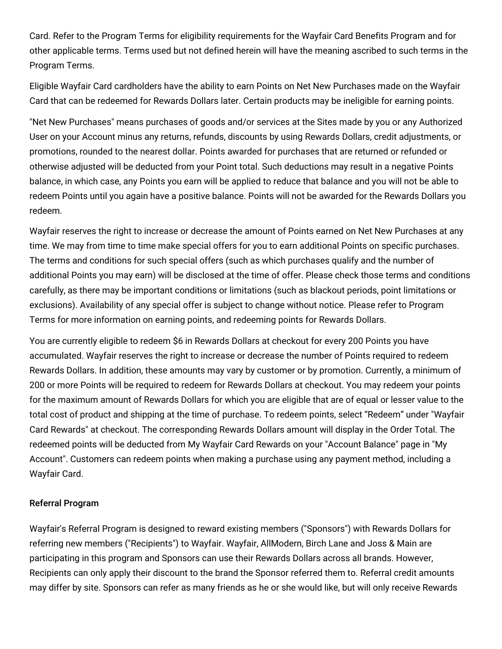Card. Refer to the Program Terms for eligibility requirements for the Wayfair Card Benefits Program and for other applicable terms. Terms used but not defined herein will have the meaning ascribed to such terms in the Program Terms.

Eligible Wayfair Card cardholders have the ability to earn Points on Net New Purchases made on the Wayfair Card that can be redeemed for Rewards Dollars later. Certain products may be ineligible for earning points.

"Net New Purchases" means purchases of goods and/or services at the Sites made by you or any Authorized User on your Account minus any returns, refunds, discounts by using Rewards Dollars, credit adjustments, or promotions, rounded to the nearest dollar. Points awarded for purchases that are returned or refunded or otherwise adjusted will be deducted from your Point total. Such deductions may result in a negative Points balance, in which case, any Points you earn will be applied to reduce that balance and you will not be able to redeem Points until you again have a positive balance. Points will not be awarded for the Rewards Dollars you redeem.

Wayfair reserves the right to increase or decrease the amount of Points earned on Net New Purchases at any time. We may from time to time make special offers for you to earn additional Points on specific purchases. The terms and conditions for such special offers (such as which purchases qualify and the number of additional Points you may earn) will be disclosed at the time of offer. Please check those terms and conditions carefully, as there may be important conditions or limitations (such as blackout periods, point limitations or exclusions). Availability of any special offer is subject to change without notice. Please refer to Program Terms for more information on earning points, and redeeming points for Rewards Dollars.

You are currently eligible to redeem \$6 in Rewards Dollars at checkout for every 200 Points you have accumulated. Wayfair reserves the right to increase or decrease the number of Points required to redeem Rewards Dollars. In addition, these amounts may vary by customer or by promotion. Currently, a minimum of 200 or more Points will be required to redeem for Rewards Dollars at checkout. You may redeem your points for the maximum amount of Rewards Dollars for which you are eligible that are of equal or lesser value to the total cost of product and shipping at the time of purchase. To redeem points, select "Redeem" under "Wayfair Card Rewards" at checkout. The corresponding Rewards Dollars amount will display in the Order Total. The redeemed points will be deducted from My Wayfair Card Rewards on your "Account Balance" page in "My Account". Customers can redeem points when making a purchase using any payment method, including a Wayfair Card.

#### Referral Program

Wayfair's Referral Program is designed to reward existing members ("Sponsors") with Rewards Dollars for referring new members ("Recipients") to Wayfair. Wayfair, AllModern, Birch Lane and Joss & Main are participating in this program and Sponsors can use their Rewards Dollars across all brands. However, Recipients can only apply their discount to the brand the Sponsor referred them to. Referral credit amounts may differ by site. Sponsors can refer as many friends as he or she would like, but will only receive Rewards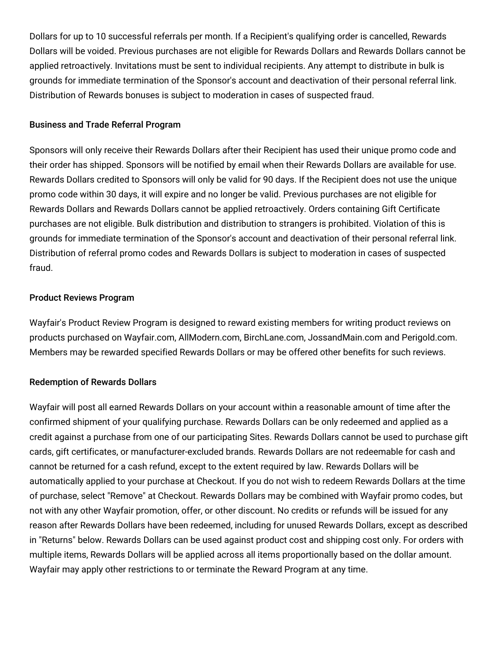Dollars for up to 10 successful referrals per month. If a Recipient's qualifying order is cancelled, Rewards Dollars will be voided. Previous purchases are not eligible for Rewards Dollars and Rewards Dollars cannot be applied retroactively. Invitations must be sent to individual recipients. Any attempt to distribute in bulk is grounds for immediate termination of the Sponsor's account and deactivation of their personal referral link. Distribution of Rewards bonuses is subject to moderation in cases of suspected fraud.

#### Business and Trade Referral Program

Sponsors will only receive their Rewards Dollars after their Recipient has used their unique promo code and their order has shipped. Sponsors will be notified by email when their Rewards Dollars are available for use. Rewards Dollars credited to Sponsors will only be valid for 90 days. If the Recipient does not use the unique promo code within 30 days, it will expire and no longer be valid. Previous purchases are not eligible for Rewards Dollars and Rewards Dollars cannot be applied retroactively. Orders containing Gift Certificate purchases are not eligible. Bulk distribution and distribution to strangers is prohibited. Violation of this is grounds for immediate termination of the Sponsor's account and deactivation of their personal referral link. Distribution of referral promo codes and Rewards Dollars is subject to moderation in cases of suspected fraud.

## Product Reviews Program

Wayfair's Product Review Program is designed to reward existing members for writing product reviews on products purchased on Wayfair.com, AllModern.com, BirchLane.com, JossandMain.com and Perigold.com. Members may be rewarded specified Rewards Dollars or may be offered other benefits for such reviews.

#### Redemption of Rewards Dollars

Wayfair will post all earned Rewards Dollars on your account within a reasonable amount of time after the confirmed shipment of your qualifying purchase. Rewards Dollars can be only redeemed and applied as a credit against a purchase from one of our participating Sites. Rewards Dollars cannot be used to purchase gift cards, gift certificates, or manufacturer-excluded brands. Rewards Dollars are not redeemable for cash and cannot be returned for a cash refund, except to the extent required by law. Rewards Dollars will be automatically applied to your purchase at Checkout. If you do not wish to redeem Rewards Dollars at the time of purchase, select "Remove" at Checkout. Rewards Dollars may be combined with Wayfair promo codes, but not with any other Wayfair promotion, offer, or other discount. No credits or refunds will be issued for any reason after Rewards Dollars have been redeemed, including for unused Rewards Dollars, except as described in "Returns" below. Rewards Dollars can be used against product cost and shipping cost only. For orders with multiple items, Rewards Dollars will be applied across all items proportionally based on the dollar amount. Wayfair may apply other restrictions to or terminate the Reward Program at any time.